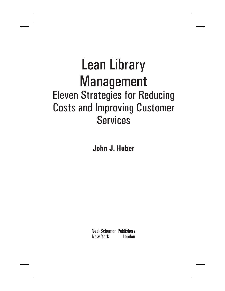# Lean Library Management Eleven Strategies for Reducing Costs and Improving Customer Services

**John J. Huber**

Neal-Schuman Publishers New York London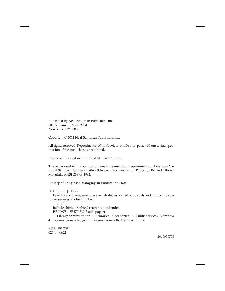Published by Neal-Schuman Publishers, Inc. 100 William St., Suite 2004 New York, NY 10038

Copyright © 2011 Neal-Schuman Publishers, Inc.

All rights reserved. Reproduction of this book, in whole or in part, without written permission of the publisher, is prohibited.

Printed and bound in the United States of America.

The paper used in this publication meets the minimum requirements of American National Standard for Information Sciences—Permanence of Paper for Printed Library Materials, ANSI Z39.48-1992.

#### **Library of Congress Cataloging-in-Publication Data**

Huber, John J., 1958-

Lean library management : eleven strategies for reducing costs and improving customer services / John J. Huber.

p. cm.

Includes bibliographical references and index.

ISBN 978-1-55570-732-3 (alk. paper)

1. Library administration. 2. Libraries—Cost control. 3. Public services (Libraries) 4. Organizational change. 5. Organizational effectiveness. I. Title.

Z678.H84 2011 025.1—dc22

2010050755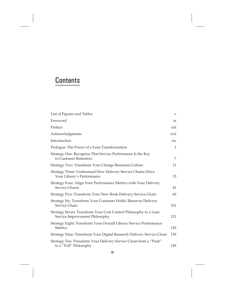# **Contents**

| List of Figures and Tables                                                                         | $\rm V$ |
|----------------------------------------------------------------------------------------------------|---------|
| Foreword                                                                                           | ix      |
| Preface                                                                                            | xiii    |
| Acknowledgments                                                                                    | xvii    |
| Introduction                                                                                       | xix     |
| Prologue: The Power of a Lean Transformation                                                       | 1       |
| Strategy One: Recognize That Service Performance Is the Key<br>to Customer Retention               | 7       |
| Strategy Two: Transform Your Change-Resistant Culture                                              | 11      |
| Strategy Three: Understand How Delivery Service Chains Drive<br>Your Library's Performance         | 33      |
| Strategy Four: Align Your Performance Metrics with Your Delivery<br>Service Chains                 | 41      |
| Strategy Five: Transform Your New Book Delivery Service Chain                                      | 69      |
| Strategy Six: Transform Your Customer Holds/Reserves Delivery<br>Service Chain                     | 101     |
| Strategy Seven: Transform Your Cost Control Philosophy to a Lean<br>Service Improvement Philosophy | 121     |
| Strategy Eight: Transform Your Overall Library Service Performance<br>Metrics                      | 129     |
| Strategy Nine: Transform Your Digital Research Delivery Service Chain                              | 139     |
| Strategy Ten: Transform Your Delivery Service Chain from a "Push"<br>to a "Pull" Philosophy        | 149     |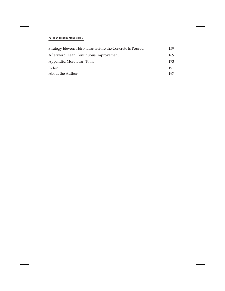| Strategy Eleven: Think Lean Before the Concrete Is Poured | 159 |
|-----------------------------------------------------------|-----|
| Afterword: Lean Continuous Improvement                    | 169 |
| Appendix: More Lean Tools                                 | 173 |
| Index                                                     | 191 |
| About the Author                                          | 197 |
|                                                           |     |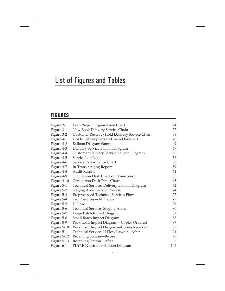# List of Figures and Tables

#### **FIGURES**

| Figure 2-1  | Lean Project Organization Chart              | 24  |
|-------------|----------------------------------------------|-----|
| Figure 3-1  | New Book Delivery Service Chain              | 37  |
| Figure 3-2  | Customer Reserve/Hold Delivery Service Chain | 38  |
| Figure 4-1  | Holds Delivery Service Chain Flowchart       | 48  |
| Figure 4-2  | <b>Balloon Diagram Sample</b>                | 49  |
| Figure 4-3  | Delivery Service Balloon Diagram             | 49  |
| Figure 4-4  | Customer Delivery Service Balloon Diagram    | 50  |
| Figure 4-5  | Service Log Label                            | 56  |
| Figure 4-6  | Service Performance Chart                    | 58  |
| Figure 4-7  | In-Transit Aging Report                      | 59  |
| Figure 4-8  | <b>Audit Results</b>                         | 61  |
| Figure 4-9  | Circulation Desk Checkout Time Study         | 63  |
| Figure 4-10 | Circulation Desk Time Chart                  | 65  |
| Figure 5-1  | Technical Services Delivery Balloon Diagram  | 72  |
| Figure 5-2  | <b>Staging Area Carts in Process</b>         | 74  |
| Figure 5-3  | Preprocessed Technical Services Flow         | 77  |
| Figure 5-4  | Tech Services-All Flows                      | 77  |
| Figure 5-5  | U Flow                                       | 79  |
| Figure 5-6  | <b>Technical Services Staging Areas</b>      | 80  |
| Figure 5-7  | Large Batch Impact Diagram                   | 82  |
| Figure 5-8  | Small Batch Impact Diagram                   | 83  |
| Figure 5-9  | Peak Load Impact Diagram-Copies Ordered      | 87  |
| Figure 5-10 | Peak Load Impact Diagram-Copies Received     | 87  |
| Figure 5-11 | Technical Services U Flow Layout-After       | 94  |
| Figure 5-12 | Receiving Station-Before                     | 96  |
| Figure 5-13 | Receiving Station-After                      | 97  |
| Figure 6-1  | PLYMC Customer Balloon Diagram               | 105 |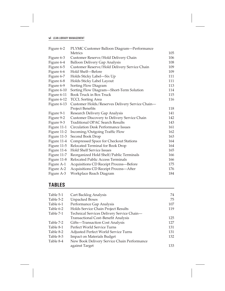| Figure 6-2  | PLYMC Customer Balloon Diagram-Performance      |     |
|-------------|-------------------------------------------------|-----|
|             | <b>Metrics</b>                                  | 105 |
| Figure 6-3  | Customer Reserve/Hold Delivery Chain            | 106 |
| Figure 6-4  | <b>Balloon Delivery Gap Analysis</b>            | 108 |
| Figure 6-5  | Customer Reserve/Hold Delivery Service Chain    | 109 |
| Figure 6-6  | Hold Shelf-Before                               | 109 |
| Figure 6-7  | Holds Sticky Label—Six Up                       | 111 |
| Figure 6-8  | Holds Sticky Label Layout                       | 111 |
| Figure 6-9  | Sorting Flow Diagram                            | 113 |
| Figure 6-10 | Sorting Flow Diagram-Short-Term Solution        | 114 |
| Figure 6-11 | <b>Book Truck in Box Truck</b>                  | 115 |
| Figure 6-12 | <b>TCCL Sorting Area</b>                        | 116 |
| Figure 6-13 | Customer Holds/Reserves Delivery Service Chain- |     |
|             | <b>Project Benefits</b>                         | 118 |
| Figure 9-1  | Research Delivery Gap Analysis                  | 141 |
| Figure 9-2  | Customer Discovery to Delivery Service Chain    | 142 |
| Figure 9-3  | <b>Traditional OPAC Search Results</b>          | 143 |
| Figure 11-1 | <b>Circulation Desk Performance Issues</b>      | 161 |
| Figure 11-2 | Incoming/Outgoing Traffic Flow                  | 162 |
| Figure 11-3 | Second Book Drop                                | 163 |
| Figure 11-4 | <b>Compressed Space for Checkout Stations</b>   | 164 |
| Figure 11-5 | Relocated Terminal for Book Drop                | 164 |
| Figure 11-6 | <b>Hold Shelf Service Issues</b>                | 165 |
| Figure 11-7 | Reorganized Hold Shelf/Public Terminals         | 166 |
| Figure 11-8 | Relocated Public Access Terminals               | 166 |
| Figure A-1  | Acquisitions CD Receipt Process-Before          | 175 |
| Figure A-2  | Acquisitions CD Receipt Process-After           | 176 |
| Figure A-3  | Workplace Reach Diagram                         | 184 |

#### **TABLES**

| Table 5-1 | Cart Backlog Analysis                       | 74  |
|-----------|---------------------------------------------|-----|
| Table 5-2 | <b>Unpacked Boxes</b>                       | 75  |
| Table 6-1 | Performance Gap Analysis                    | 107 |
| Table 6-2 | Holds Service Chain Project Results         | 119 |
| Table 7-1 | Technical Services Delivery Service Chain-  |     |
|           | <b>Transactional Cost-Benefit Analysis</b>  | 125 |
| Table 7-2 | Gifts-Transaction Cost Analysis             | 127 |
| Table 8-1 | Perfect World Service Turns                 | 131 |
| Table 8-2 | Adjusted Perfect World Service Turns        | 131 |
| Table 8-3 | <b>Impact on Materials Budget</b>           | 132 |
| Table 8-4 | New Book Delivery Service Chain Performance |     |
|           | against Target                              | 133 |
|           |                                             |     |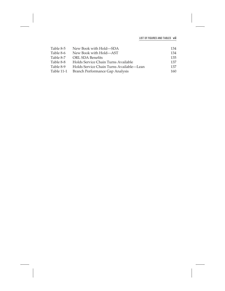| Table 8-5  | New Book with Hold—SDA                   | 134 |
|------------|------------------------------------------|-----|
| Table 8-6  | New Book with Hold—AST                   | 134 |
| Table 8-7  | <b>ORL SDA Benefits</b>                  | 135 |
| Table 8-8  | Holds Service Chain Turns Available      | 137 |
| Table 8-9  | Holds Service Chain Turns Available—Lean | 137 |
| Table 11-1 | Branch Performance Gap Analysis          | 160 |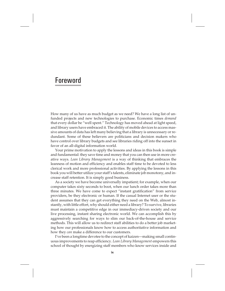# Foreword

How many of us have as much budget as we need? We have a long list of unfunded projects and new technologies to purchase. Economic times *demand* that every dollar be "well spent." Technology has moved ahead at light speed, and library users have embraced it. The ability of mobile devices to access massive amounts of data has left many believing that a library is unnecessary or redundant. Some of these believers are politicians and decision makers who have control over library budgets and see libraries riding off into the sunset in favor of an all-digital information world.

Your prime motivation to apply the lessons and ideas in this book is simple and fundamental: they save time and money that you can then use in more creative ways. *Lean Library Management* is a way of thinking that embraces the leanness of motion and efficiency and enables staff time to be devoted to less clerical work and more professional activities. By applying the lessons in this book you will better utilize your staff's talents, eliminate job monotony, and increase staff retention. It is simply good business.

As a society we have become universally impatient; for example, when our computer takes sixty seconds to boot, when our lunch order takes more than three minutes. We have come to expect "instant gratification" from service providers, be they electronic or human. If the casual Internet user or the student assumes that they can get everything they need on the Web, almost instantly, with little effort, why should either need a library? To survive, libraries must maintain a competitive edge in our immediacy-driven society and our live processing, instant sharing electronic world. We can accomplish this by aggressively searching for ways to slim our back-of-the-house and service methods. This will allow us to redirect staff abilities to do a better job marketing how our professionals know how to access authoritative information and how they *can* make a difference to our customers.

I've been a longtime devotee to the concept of kaizen—making small continuous improvements to reap efficiency. *Lean Library Management* empowers this school of thought by energizing staff members who know services inside and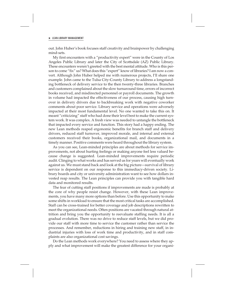out. John Huber's book focuses staff creativity and brainpower by challenging mind-sets.

My first encounters with a "productivity expert" were in the County of Los Angeles Public Library and later the City of Scottsdale (AZ) Public Library. These encounters weren't greeted with the best mental attitude. Who is this person to come "fix" us? What does this "expert" know of libraries? I am now a convert. Although John Huber helped me with numerous projects, I'll share one example. John came to the Tulsa City-County Library to address a longstanding bottleneck of delivery service to the then twenty-three libraries. Branches and customers complained about the slow turnaround time, errors of incorrect books received, and misdirected personnel or payroll documents. The growth in volume had impacted the effectiveness of our process, causing high turnover in delivery drivers due to backbreaking work with negative coworker comments about poor service. Library service and operations were adversely impacted at their most fundamental level. No one wanted to take this on. It meant "criticizing" staff who had done their level best to make the current system work. It was complex. A fresh view was needed to untangle the bottleneck that impacted every service and function. This story had a happy ending. The new Lean methods reaped ergonomic benefits for branch staff and delivery drivers, reduced staff turnover, improved morale, and internal and external customers received their books, organizational mail, and documents in a timely manner. Positive comments were heard throughout the library system.

As you can see, Lean-minded principles are about methods for service improvements, not about hurting feelings or making anyone feel less valued because change is suggested. Lean-minded improvements require periodic audit. Clinging to what works and has served us for years will eventually work against us. We must stand back and look at the big picture—survival of library service is dependent on our response to this immediacy-driven society. Library boards and city or university administration want to see how dollars invested reap results. The Lean principles can provide you with tangible hard data and monitored results.

The fear of cutting staff positions if improvements are made is probably at the core of why people resist change. However, with these Lean improvements, you have many more options than before. Use this opportunity to make some shifts in workload to ensure that the most critical tasks are accomplished. Staff can be cross-trained for better coverage and job descriptions rewritten to meet the organizational needs. Often positions are vacated through natural attrition and bring you the opportunity to reevaluate staffing needs. It is all a gradual evolution. There was no drive to reduce staff levels, but we did provide our staff with more time to service the customer rather than service the processes. And remember, reductions in hiring and training new staff, in industrial injuries with loss of work time and productivity, and in staff complaints are also organizational cost savings.

Do the Lean methods work everywhere? You need to assess where they apply and what improvement will make the greatest difference for your organi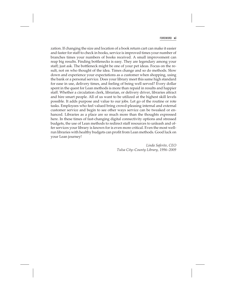zation. If changing the size and location of a book return cart can make it easier and faster for staff to check in books, service is improved times your number of branches times your numbers of books received. A small improvement can reap big results. Finding bottlenecks is easy. They are legendary among your staff; just ask. The bottleneck might be one of your pet ideas. Focus on the result, not on who thought of the idea. Times change and so do methods. Slow down and experience your expectations as a customer when shopping, using the bank or a personal service. Does your library meet this same high standard for ease in use, delivery times, and feeling of being well served? Every dollar spent in the quest for Lean methods is more than repaid in results and happier staff. Whether a circulation clerk, librarian, or delivery driver, libraries attract and hire smart people. All of us want to be utilized at the highest skill levels possible. It adds purpose and value to our jobs. Let go of the routine or rote tasks. Employees who feel valued bring crowd-pleasing internal and external customer service and begin to see other ways service can be tweaked or enhanced. Libraries as a place are so much more than the thoughts expressed here. In these times of fast-changing digital connectivity options and stressed budgets, the use of Lean methods to redirect staff resources to unleash and offer services your library is known for is even more critical. Even the most wellrun libraries with healthy budgets can profit from Lean methods. Good luck on your Lean journey!

> *Linda Saferite, CEO Tulsa City–County Library, 1996–2009*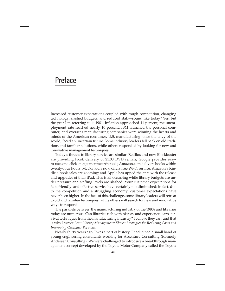## Preface

Increased customer expectations coupled with tough competition, changing technology, slashed budgets, and reduced staff—sound like today? Yes, but the year I'm referring to is 1981. Inflation approached 11 percent, the unemployment rate reached nearly 10 percent, IBM launched the personal computer, and overseas manufacturing companies were winning the hearts and minds of the American consumer. U.S. manufacturing, once the envy of the world, faced an uncertain future. Some industry leaders fell back on old traditions and familiar solutions, while others responded by looking for new and innovative management techniques.

Today's threats to library service are similar. RedBox and now Blockbuster are providing kiosk delivery of \$1.00 DVD rentals; Google provides easyto-use, one-click engagement search tools; Amazon.com delivers books within twenty-four hours; McDonald's now offers free Wi-Fi service; Amazon's Kindle e-book sales are zooming; and Apple has upped the ante with the release and upgrades of their iPad. This is all occurring while library budgets are under pressure and staffing levels are slashed. Your customer expectations for fast, friendly, and effective service have certainly not diminished; in fact, due to the competition and a struggling economy, customer expectations have never been higher. In the face of this challenge, some library leaders will retreat to old and familiar techniques, while others will search for new and innovative ways to respond.

The parallels between the manufacturing industry of the 1980s and libraries today are numerous. Can libraries rich with history and experience learn survival techniques from the manufacturing industry? I believe they can, and that is why I wrote *Lean Library Management: Eleven Strategies for Reducing Costs and Improving Customer Services.*

Nearly thirty years ago, I was a part of history. I had joined a small band of young engineering consultants working for Accenture Consulting (formerly Andersen Consulting). We were challenged to introduce a breakthrough management concept developed by the Toyota Motor Company called the Toyota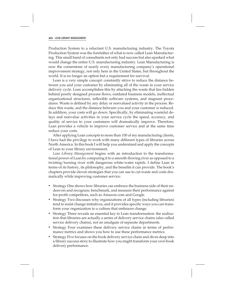Production System to a reluctant U.S. manufacturing industry. The Toyota Production System was the forefather of what is now called Lean Manufacturing. This small band of consultants not only had success but also sparked what would change the entire U.S. manufacturing industry. Lean Manufacturing is now the cornerstone of nearly every manufacturing company's operational improvement strategy, not only here in the United States, but throughout the world. It is no longer an option but a requirement for survival.

Lean is a very simple concept: constantly strive to reduce the distance between you and your customer by eliminating all of the waste in your service delivery cycle. Lean accomplishes this by attacking the waste that lies hidden behind poorly designed process flows, outdated business models, ineffectual organizational structures, inflexible software systems, and stagnant procedures. Waste is defined by any delay or nonvalued activity in the process. Reduce this waste, and the distance between you and your customer is reduced. In addition, your costs will go down. Specifically, by eliminating wasteful delays and nonvalue activities in your service cycle the speed, accuracy, and quality of service to your customers will dramatically improve. Therefore, Lean provides a vehicle to improve customer service and at the same time reduce your costs.

After applying Lean concepts to more than 100 of my manufacturing clients, I have had the privilege to work with many different types of libraries across North America. In this book I will help you understand and apply the concepts of Lean to your library environment.

*Lean Library Management* begins with an introduction to the transformational power of Lean by comparing it to a smooth-flowing river as opposed to a twisting/turning river with dangerous white-water rapids. I define Lean in terms of its history, its philosophy, and the benefits it can provide. The book's chapters provide eleven strategies that you can use to cut waste and costs dramatically while improving customer service:

- Strategy One shows how libraries can embrace the business side of their endeavors and recognize, benchmark, and measure their performance against for-profit competitors, such as Amazon.com and Google.
- Strategy Two discusses why organizations of all types (including libraries) tend to resist change initiatives, and it provides specific ways you can transform your organization to a culture that embraces change.
- Strategy Three reveals an essential key to Lean transformation: the realization that libraries are actually a series of delivery service chains (also called service delivery chains), not an amalgam of separate departments.
- Strategy Four examines these delivery service chains in terms of performance metrics and shows you how to use these performance metrics.
- Strategy Five focuses on the book delivery service chain and dives deep into a library success story to illustrate how you might transform your own book delivery performance.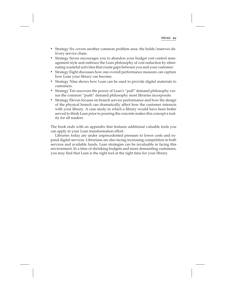- Strategy Six covers another common problem area: the holds/reserves delivery service chain.
- Strategy Seven encourages you to abandon your budget cost control management style and embrace the Lean philosophy of cost reduction by eliminating wasteful activities that create gaps between you and your customer.
- Strategy Eight discusses how one overall performance measure can capture how Lean your library can become.
- Strategy Nine shows how Lean can be used to provide digital materials to customers.
- Strategy Ten uncovers the power of Lean's "pull" demand philosophy versus the common "push" demand philosophy most libraries incorporate.
- Strategy Eleven focuses on branch service performance and how the design of the physical branch can dramatically affect how the customer interacts with your library. A case study in which a library would have been better served to think Lean prior to pouring the concrete makes this concept a reality for all readers.

The book ends with an appendix that features additional valuable tools you can apply in your Lean transformation effort.

Libraries today are under unprecedented pressure to lower costs and expand digital services. Librarians are also facing increasing competition in both services and available funds. Lean strategies can be invaluable in facing this environment. In a time of shrinking budgets and more demanding customers, you may find that Lean is the right tool at the right time for your library.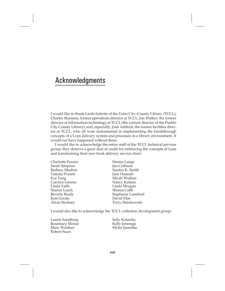# Acknowledgments

I would like to thank Linda Saferite of the Tulsa City–County Library (TCCL); Charles Shannon, former operations director at TCCL; Jon Walker, the former director of information technology at TCCL (the current director of the Pueblo City County Library); and, especially, Josh Ashlock, the former facilities director at TCCL, who all were instrumental in implementing the breakthrough concepts of a Lean delivery system and processes in a library environment. It would not have happened without them.

I would like to acknowledge the entire staff of the TCCL technical services group; they deserve a great deal of credit for embracing the concepts of Lean and transforming their new book delivery service chain:

| Charlotte Frazier | Denise Lange       |
|-------------------|--------------------|
| Sarah Simpson     | Jan Coffman        |
| Barbara Meehan    | Sandra K. Smith    |
| Tamala Pruiett    | Jane Hannah        |
| Eve Tang          | Micah Wulfers      |
| Carolyn Greene    | Nancy Kattein      |
| Linda Yaffe       | Linda Morgan       |
| Sharon Leach      | Shonta Cobb        |
| Beverly Brady     | Stephanie Lunsford |
| Kim Goode         | David Dias         |
| Alicia Stickney   | Terry Stemkowski   |
|                   |                    |

I would also like to acknowledge the TCCL collection development group:

Laurie Sundborg<br>
Rosemary Moran<br>
Sally Jennings<br>
Kelly Jennings Rosemary Moran Mary Waidner **Myles** Jaeschke Robert Sears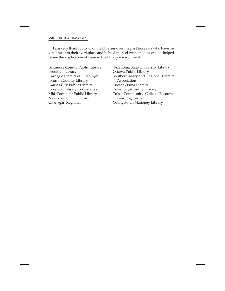I am very thankful to all of the libraries over the past ten years who have invited me into their workplace and helped me feel welcomed as well as helped refine the application of Lean in the library environment:

Baltimore County Public Library Brooklyn Library Carnegie Library of Pittsburgh Johnson County Library Kansas City Public Library Lakeland Library Cooperative Mid-Continent Public Library New York Public Library Okanagan Regional

Oklahoma State University Library Ottawa Public Library Southern Maryland Regional Library Association Tucson/Pima Library Tulsa City–County Library Tulsa Community College Resource Learning Center Youngstown Mahoney Library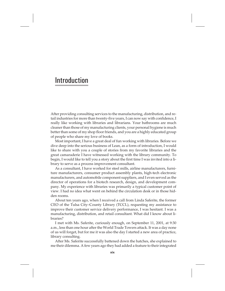### Introduction

After providing consulting services to the manufacturing, distribution, and retail industries for more than twenty-five years, I can now say with confidence, I really like working with libraries and librarians. Your bathrooms are much cleaner than those of my manufacturing clients, your personal hygiene is much better than some of my shop floor friends, and you are a highly educated group of people who share my love of books.

Most important, I have a great deal of fun working with libraries. Before we dive deep into the serious business of Lean, as a form of introduction, I would like to share with you a couple of stories from my favorite libraries and the great camaraderie I have witnessed working with the library community. To begin, I would like to tell you a story about the first time I was invited into a library to serve as a process improvement consultant.

As a consultant, I have worked for steel mills, airline manufacturers, furniture manufacturers, consumer product assembly plants, high-tech electronic manufacturers, and automobile component suppliers, and I even served as the director of operations for a biotech research, design, and development company. My experience with libraries was primarily a typical customer point of view. I had no idea what went on behind the circulation desk or in those hidden rooms.

About ten years ago, when I received a call from Linda Saferite, the former CEO of the Tulsa City–County Library (TCCL), requesting my assistance to improve their customer service delivery performance, I was hesitant. I was a manufacturing, distribution, and retail consultant. What did I know about libraries?

I met with Ms. Saferite, curiously enough, on September 11, 2001, at 9:30 a.m., less than one hour after the World Trade Towers attack. It was a day none of us will forget, but for me it was also the day I started a new area of practice, library consulting.

After Ms. Saferite successfully battened down the hatches, she explained to me their dilemma. A few years ago they had added a feature to their integrated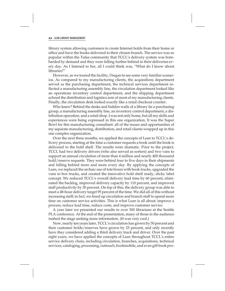library system allowing customers to create Internet holds from their home or office and have the books delivered to their chosen branch. The service was so popular within the Tulsa community that TCCL's delivery system was bombarded by demand and they were falling further behind in their deliveries every day. As I listened to her, all I could think was, "What do I know about libraries?"

However, as we toured the facility, I began to see some very familiar scenarios. As compared to my manufacturing clients, the acquisitions department served as the purchasing department, the technical services department reflected a manufacturing assembly line, the circulation department looked like an operations inventory control department, and the shipping department echoed the distribution and logistics arm of most of my manufacturing clients. Finally, the circulation desk looked exactly like a retail checkout counter.

Who knew? Behind the desks and hidden walls of a library lie a purchasing group, a manufacturing assembly line, an inventory control department, a distribution operation, and a retail shop. I was not only home, but all my skills and experiences were being expressed in this one organization. It was the Super Bowl for this manufacturing consultant: all of the issues and opportunities of my separate manufacturing, distribution, and retail clients wrapped up in this one complex organization.

Over the next three months, we applied the concepts of Lean to TCCL's delivery process, starting at the time a customer requests a book until the book is delivered to the hold shelf. The results were dramatic. Prior to the project, TCCL had two delivery drivers (who also served as sorters) and two vans to support an annual circulation of more than 4 million and nearly 400 thousand hold/reserve requests. They were behind four to five days in their shipments and falling behind more and more every day. By applying the concepts of Lean, we replaced the archaic use of tote boxes with book trucks, upgraded the vans to box trucks, and created the innovative hold shelf ready, sticky label concept. We reduced TCCL's overall delivery lead time by 60 percent, eliminated the backlog, improved delivery capacity by 110 percent, and improved staff productivity by 30 percent. On top of this, the delivery group was able to meet a 48-hour delivery target 95 percent of the time. We did all of this without increasing staff; in fact, we freed up circulation and branch staff to spend more time on customer service activities. This is what Lean is all about: improve a process, reduce lead time, reduce costs, and improve customer service.

A year later we presented our results to over 300 librarians at the Seattle PLA conference. At the end of the presentation, many of those in the audience rushed the stage seeking more information. (It was very cool.)

Now, nearly ten years later, TCCL's circulation has grown by 50 percent and their customer holds/reserves have grown by 25 percent, and only recently have they considered adding a third delivery truck and driver. Over the past eight years, we have applied the concepts of Lean throughout TCCL's entire service delivery chain, including circulation, branches, acquisitions, technical services, cataloging, processing, outreach, bookmobile, and even gift book pro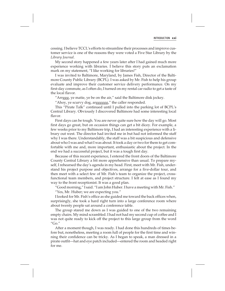cessing. I believe TCCL's efforts to streamline their processes and improve customer service is one of the reasons they were voted a Five Star Library by the *Library Journal*.

My second story happened a few years later after I had gained much more experience working with libraries. I believe this story puts an exclamation mark on my statement, "I like working for libraries!"

I was invited to Baltimore, Maryland, by James Fish, Director of the Baltimore County Public Library (BCPL). I was asked by Mr. Fish to help his group evaluate and improve their customer service delivery performance. On my first-day commute, as I often do, I turned on my rental car radio to get a taste of the local flavor.

"Arrggg, ye matie, ye be on the air," said the Baltimore disk jockey.

"Ahoy, ye scurvy dog, argggggg," the caller responded.

This "Pirate Talk" continued until I pulled into the parking lot of BCPL's Central Library. Obviously I discovered Baltimore had some interesting local flavor.

First days can be tough. You are never quite sure how the day will go. Most first days go great, but on occasion things can get a bit dicey. For example, a few weeks prior to my Baltimore trip, I had an interesting experience with a library out west. The director had invited me in but had not informed the staff why I was there. Understandably, the staff was a bit suspicious and defensive about who I was and what I was about. It took a day or two for them to get comfortable with me and, more important, enthusiastic about the project. In the end we had a successful project, but it was a tough first day.

Because of this recent experience, I entered the front doors of the Baltimore County Central Library a bit more apprehensive than usual. To prepare myself, I rehearsed the day's agenda in my head. First, meet with Mr. Fish, understand his project purpose and objectives, arrange for a five-dollar tour, and then meet with a select few of Mr. Fish's team to organize the project, crossfunctional team members, and project structure. I felt at ease as I found my way to the front receptionist. It was a good plan.

"Good morning," I said. "I am John Huber. I have a meeting with Mr. Fish."

"Yes, Mr. Huber; we are expecting you."

I looked for Mr. Fish's office as she guided me toward the back offices when, surprisingly, she took a hard right turn into a large conference room where about twenty people sat around a conference table.

The group stared me down as I was guided to one of the two remaining empty chairs. My mind scrambled. I had not had my second cup of coffee and I was not quite ready to kick off the project to this large group from the word  $^{\prime\prime}$ Go. $^{\prime\prime}$ 

After a moment though, I was ready. I had done this hundreds of times before but, nonetheless, meeting a room full of people for the first time and winning their confidence can be tricky. As I began to speak, a man dressed in a pirate outfit—hat and eye patch included—entered the room and headed right for me.